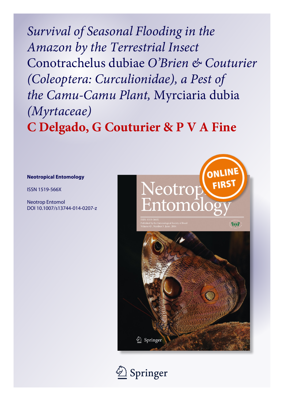*Survival of Seasonal Flooding in the Amazon by the Terrestrial Insect* Conotrachelus dubiae *O'Brien & Couturier (Coleoptera: Curculionidae), a Pest of the Camu-Camu Plant,* Myrciaria dubia *(Myrtaceae)* **C Delgado, G Couturier & P V A Fine**

## **Neotropical Entomology**

ISSN 1519-566X

Neotrop Entomol DOI 10.1007/s13744-014-0207-z



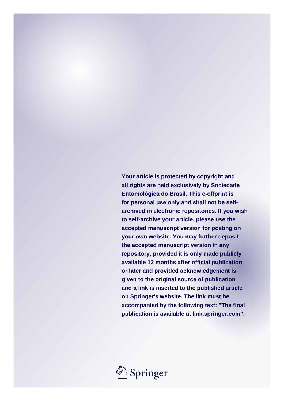**Your article is protected by copyright and all rights are held exclusively by Sociedade Entomológica do Brasil. This e-offprint is for personal use only and shall not be selfarchived in electronic repositories. If you wish to self-archive your article, please use the accepted manuscript version for posting on your own website. You may further deposit the accepted manuscript version in any repository, provided it is only made publicly available 12 months after official publication or later and provided acknowledgement is given to the original source of publication and a link is inserted to the published article on Springer's website. The link must be accompanied by the following text: "The final publication is available at link.springer.com".**

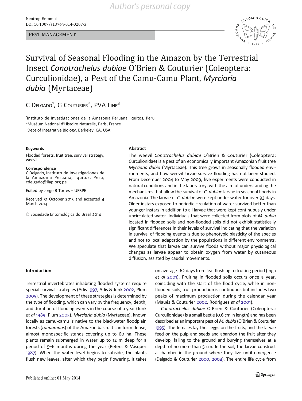### PEST MANAGEMENT



# Survival of Seasonal Flooding in the Amazon by the Terrestrial Insect Conotrachelus dubiae O'Brien & Couturier (Coleoptera: Curculionidae), a Pest of the Camu-Camu Plant, Myrciaria dubia (Myrtaceae)

C DELGADO<sup>1</sup>, G COUTURIER<sup>2</sup>, PVA FINE<sup>3</sup>

<sup>1</sup>Instituto de Investigaciones de la Amazonía Peruana, Iquitos, Peru <sup>2</sup>Muséum National d'Histoire Naturelle, Paris, France <sup>3</sup>Dept of Integrative Biology, Berkeley, CA, USA

### Keywords **Abstract**

Flooded forests, fruit tree, survival strategy, weevil

Correspondence C Delgado, Instituto de Investigaciones de la Amazonía Peruana, Iquitos, Peru; cdelgado@iiap.org.pe

Edited by Jorge B Torres – UFRPE

Received 31 October 2013 and accepted 4 March 2014

 $\oslash$  Sociedade Entomológica do Brasil 2014

The weevil Conotrachelus dubiae O'Brien & Couturier (Coleoptera: Curculionidae) is a pest of an economically important Amazonian fruit tree Myrciaria dubia (Myrtaceae). This tree grows in seasonally flooded environments, and how weevil larvae survive flooding has not been studied. From December 2004 to May 2009, five experiments were conducted in natural conditions and in the laboratory, with the aim of understanding the mechanisms that allow the survival of C. dubiae larvae in seasonal floods in Amazonia. The larvae of C. dubiae were kept under water for over 93 days. Older instars exposed to periodic circulation of water survived better than younger instars in addition to all larvae that were kept continuously under uncirculated water. Individuals that were collected from plots of M. dubia located in flooded soils and non-flooded soils did not exhibit statistically significant differences in their levels of survival indicating that the variation in survival of flooding events is due to phenotypic plasticity of the species and not to local adaptation by the populations in different environments. We speculate that larvae can survive floods without major physiological changes as larvae appear to obtain oxygen from water by cutaneous diffusion, assisted by caudal movements.

Introduction

Terrestrial invertebrates inhabiting flooded systems require special survival strategies (Adis [1997,](#page-5-0) Adis & Junk [2002](#page-5-0), Plum [2005\)](#page-6-0). The development of these strategies is determined by the type of flooding, which can vary by the frequency, depth, and duration of flooding events in the course of a year (Junk et al [1989,](#page-5-0) Plum [2005](#page-6-0)). Myrciaria dubia (Myrtaceae), known locally as camu-camu is native to the blackwater floodplain forests (tahuampas) of the Amazon basin. It can form dense, almost monospecific stands covering up to 60 ha. These plants remain submerged in water up to 12 m deep for a period of 5–6 months during the year (Peters & Vásquez [1987](#page-6-0)). When the water level begins to subside, the plants flush new leaves, after which they begin flowering. It takes

flooded soils, fruit production is continuous but includes two peaks of maximum production during the calendar year (Maués & Couturier [2002](#page-5-0), Rodrigues et al [2001\)](#page-6-0). Conotrachelus dubiae O´Brien & Couturier (Coleoptera: Curculionidae) is a small beetle (0.6 cm in length) and has been described as an important pest of M. dubia (O'Brien & Couturier [1995\)](#page-6-0). The females lay their eggs on the fruits, and the larvae

feed on the pulp and seeds and abandon the fruit after they develop, falling to the ground and burying themselves at a depth of no more than 5 cm. In the soil, the larvae construct a chamber in the ground where they live until emergence (Delgado & Couturier [2000](#page-5-0), [2004](#page-5-0)). The entire life cycle from

on average 162 days from leaf flushing to fruiting period (Inga et al [2001](#page-5-0)). Fruiting in flooded soils occurs once a year, coinciding with the start of the flood cycle, while in non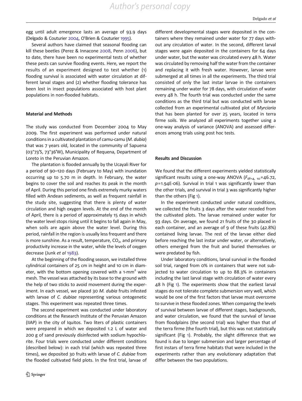egg until adult emergence lasts an average of 93.9 days (Delgado & Couturier [2004,](#page-5-0) O'Brien & Couturier [1995](#page-6-0)).

Several authors have claimed that seasonal flooding can kill these beetles (Perez & Innacone [2008](#page-6-0), Penn [2006](#page-6-0)), but to date, there have been no experimental tests of whether these pests can survive flooding events. Here, we report the results of an experiment designed to test whether (1) flooding survival is associated with water circulation at different larval stages and (2) whether flooding tolerance has been lost in insect populations associated with host plant populations in non-flooded habitats.

### Material and Methods

The study was conducted from December 2004 to May 2009. The first experiment was performed under natural conditions in a cultivated plantation of camu-camu (M. dubia) that was 7 years old, located in the community of Sapuena (03°73′S, 73°36′W), Municipality of Requena, Department of Loreto in the Peruvian Amazon.

The plantation is flooded annually by the Ucayali River for a period of 90–120 days (February to May) with inundation occurring up to 5.70 m in depth. In February, the water begins to cover the soil and reaches its peak in the month of April. During this period one finds extremely murky waters filled with Andean sediments, as well as frequent rainfall in the study site, suggesting that there is plenty of water circulation and high oxygen levels. At the end of the month of April, there is a period of approximately 15 days in which the water level stops rising until it begins to fall again in May, when soils are again above the water level. During this period, rainfall in the region is usually less frequent and there is more sunshine. As a result, temperature,  $CO<sub>2</sub>$ , and primary productivity increase in the water, while the levels of oxygen decrease (Junk et al [1983\)](#page-5-0).

At the beginning of the flooding season, we installed three cylindrical containers of 25 cm in height and 10 cm in diameter, with the bottom opening covered with a 1-mm<sup>2</sup> wire mesh. The vessel was attached by its base to the ground with the help of two sticks to avoid movement during the experiment. In each vessel, we placed 30 M. dubia fruits infested with larvae of C. dubiae representing various ontogenetic stages. This experiment was repeated three times.

The second experiment was conducted under laboratory conditions at the Research Institute of the Peruvian Amazon (IIAP) in the city of Iquitos. Two liters of plastic containers were prepared in which we deposited 1.2 L of water and 200 g of sand previously disinfected with sodium hypochlorite. Four trials were conducted under different conditions (described below): in each trial (which was repeated three times), we deposited 30 fruits with larvae of C. dubiae from the flooded cultivated field plots. In the first trial, larvae of

different developmental stages were deposited in the containers where they remained under water for 77 days without any circulation of water. In the second, different larval stages were again deposited in the containers for 64 days under water, but the water was circulated every 48 h. Water was circulated by removing half the water from the container and replacing it with fresh water. However, larvae were submerged at all times in all the experiments. The third trial consisted of only the last instar larvae in the containers remaining under water for 78 days, with circulation of water every 48 h. The fourth trial was conducted under the same conditions as the third trial but was conducted with larvae collected from an experimental cultivated plot of Myrciaria that has been planted for over 25 years, located in terra firme soils. We analyzed all experiments together using a one-way analysis of variance (ANOVA) and assessed differences among trials using post hoc tests.

### Results and Discussion

We found that the different experiments yielded statistically significant results using a one-way ANOVA ( $F_{\text{df}=4, 10}$ =46.72,  $p=1.94E-06$ ). Survival in trial 1 was significantly lower than the other trials, and survival in trial 3 was significantly higher than the others (Fig [1\)](#page-4-0).

In the experiment conducted under natural conditions, we collected the fruits 3 days after the water receded from the cultivated plots. The larvae remained under water for 93 days. On average, we found 21 fruits of the 30 placed in each container, and an average of 9 of these fruits (42.8%) contained living larvae. The rest of the larvae either died before reaching the last instar under water, or alternatively, others emerged from the fruit and buried themselves or were predated by fish.

Under laboratory conditions, larval survival in the flooded soil trial, ranged from 0% in containers that were not subjected to water circulation to up to 88.3% in containers including the last larval stage with circulation of water every 48 h (Fig [1\)](#page-4-0). The experiments show that the earliest larval stages do not tolerate complete submersion very well, which would be one of the first factors that larvae must overcome to survive in these flooded zones. When comparing the levels of survival between larvae of different stages, backgrounds, and water circulation, we found that the survival of larvae from floodplains (the second trial) was higher than that of the terra firme (the fourth trial), but this was not statistically significant (Fig [1\)](#page-4-0). Probably, the slight difference that we found is due to longer submersion and larger percentage of first instars of terra firme habitats that were included in the experiments rather than any evolutionary adaptation that differ between the two populations.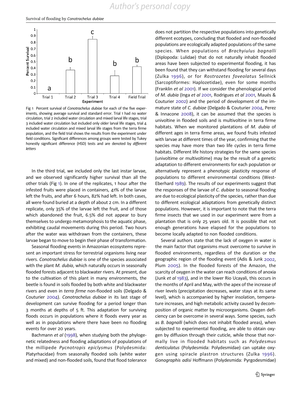<span id="page-4-0"></span>

Fig 1 Percent survival of Conotrachelus dubiae for each of the five experiments, showing average survival and standard error. Trial 1 had no water circulation, trial 2 included water circulation and mixed larval life stages, trial 3 included water circulation but included only older larval life stages, trial 4 included water circulation and mixed larval life stages from the terra firme population, and the field trial shows the results from the experiment under field conditions. Significant differences among groups were tested by Tukey honestly significant difference (HSD) tests and are denoted by different letters

In the third trial, we included only the last instar larvae, and we observed significantly higher survival than all the other trials (Fig 1). In one of the replicates, 1 hour after the infested fruits were placed in containers, 41% of the larvae left the fruits, and after 6 hours, 82% had left. In both cases, all were found buried at a depth of about 2 cm. In a different replicate, only 35% of the larvae left the fruit, and of those which abandoned the fruit, 6.5% did not appear to bury themselves to undergo metamorphosis to the aquatic phase, exhibiting caudal movements during this period. Two hours after the water was withdrawn from the containers, these larvae began to move to begin their phase of transformation.

Seasonal flooding events in Amazonian ecosystems represent an important stress for terrestrial organisms living near rivers. Conotrachelus dubiae is one of the species associated with the plant M. dubia, which naturally occurs in seasonally flooded forests adjacent to blackwater rivers. At present, due to the cultivation of this plant in many environments, the beetle is found in soils flooded by both white and blackwater rivers and even in terra firme non-flooded soils (Delgado & Couturier [2004\)](#page-5-0). Conotrachelus dubiae in its last stage of development can survive flooding for a period longer than 3 months at depths of 5 ft. This adaptation for surviving floods occurs in populations where it floods every year as well as in populations where there have been no flooding events for over 20 years.

Bachmann et al [\(1998\)](#page-5-0), when studying both the phylogenetic relatedness and flooding adaptations of populations of the millipede Pycnotropis epiclysmus (Polydesmida: Platyrhacidae) from seasonally flooded soils (white water and mixed) and non-flooded soils, found that flood tolerance does not partition the respective populations into genetically different ecotypes, concluding that flooded and non-flooded populations are ecologically adapted populations of the same species. When populations of Brachyiulus bagnalli (Diplopoda: Lulidae) that do not naturally inhabit flooded areas have been subjected to experimental flooding, it has been found that they can withstand flooding for several days (Zulka [1996](#page-6-0)), or for Rostrozetes foveolatus Sellnick (Sarcoptiformes: Haplozetidae), even for some months (Franklin et al [2001\)](#page-5-0). If we consider the phenological period of M. dubia (Inga et al [2001,](#page-5-0) Rodrigues et al [2001](#page-6-0), Maués & Couturier [2002](#page-5-0)) and the period of development of the immature state of C. dubiae (Delgado & Couturier [2004,](#page-5-0) Perez & Innacone [2008](#page-6-0)), it can be assumed that the species is univoltine in flooded soils and is multivoltine in terra firme habitats. When we monitored plantations of M. dubia of different ages in terra firme areas, we found fruits infested with larvae at different times of the year, confirming that the species may have more than two life cycles in terra firme habitats. Different life history strategies for the same species (univoltime or multivoltime) may be the result of a genetic adaptation to different environments for each population or alternatively represent a phenotypic plasticity response of populations to different environmental conditions (West-Eberhard [1989](#page-6-0)). The results of our experiments suggest that the responses of the larvae of C. dubiae to seasonal flooding are due to ecological plasticity of the species, rather than due to different ecological adaptations from genetically distinct populations. Howewer, it is important to note that the terra firme insects that we used in our experiment were from a plantation that is only 25 years old. It is possible that not enough generations have elapsed for the populations to become locally adapted to non flooded conditions.

Several authors state that the lack of oxygen in water is the main factor that organisms must overcome to survive in flooded environments, regardless of the duration or the geographic region of the flooding event (Adis & Junk [2002,](#page-5-0) Plum [2005](#page-6-0)). In the flooded forests of the Amazon, the scarcity of oxygen in the water can reach conditions of anoxia (Junk et al [1983\)](#page-5-0), and in the lower Rio Ucayali, this occurs in the months of April and May, with the apex of the increase of river levels (precipitation decreases, water stays at its same level), which is accompanied by higher insolation, temperature increases, and high metabolic activity caused by decomposition of organic matter by microorganisms. Oxygen deficiency can be overcome in several ways. Some species, such as B. bagnalli (which does not inhabit flooded areas), when subjected to experimental flooding, are able to obtain oxygen by diffusion through their cuticle, while those that normally live in flooded habitats such as Polydesmus denticulatus (Polydesmida: Polydesmidae) can uptake oxygen using spiracle plastron structures (Zulka [1996](#page-6-0)). Gonographis adisi Hoffmann (Polydesmida: Pyrgodesmidae)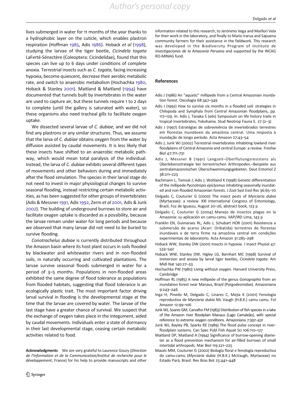*Author's personal copy*

<span id="page-5-0"></span>lives submerged in water for 11 months of the year thanks to a hydrophobic layer on the cuticle, which enables plastron respiration (Hoffman 1985, Adis 1986). Hoback et al (1998), studying the larvae of the tiger beetle, Cicindela togata LaFerté-Sénectère (Coleoptera: Cicindelidae), found that this species can live up to 6 days under conditions of complete anoxia. Terrestrial insects such as C. togata, facing increasing hypoxia, become quiescent, decrease their aerobic metabolic rate, and switch to anaerobic metabolism (Hochachka 1980, Hoback & Stanley 2001). Maitland & Maitland (1994) have documented that tunnels built by invertebrates in the water are used to capture air, but these tunnels require 1 to 2 days to complete (until the gallery is saturated with water), so these organisms also need tracheal gills to facilitate oxygen uptake.

We dissected several larvae of C. dubiae, and we did not find any plastrons or any similar structures. Thus, we assume that the larva of C. dubiae obtains oxygen from the water by diffusion assisted by caudal movements. It is less likely that these insects have shifted to an anaerobic metabolic pathway, which would mean total paralysis of the individual. Instead, the larva of C. dubiae exhibits several different types of movements and other behaviors during and immediately after the flood simulation. The species in their larval stage do not need to invest in major physiological changes to survive seasonal flooding, instead restricting certain metabolic activities, as has been suggested for other groups of invertebrates (Adis & Messner 1991, Adis 1992, Zerm et al [2001,](#page-6-0) Adis & Junk 2002). The building of underground burrows to store air and facilitate oxygen uptake is discarded as a possibility, because the larvae remain under water for long periods and because we observed that many larvae did not need to be buried to survive flooding.

Conotrachelus dubiae is currently distributed throughout the Amazon basin where its host plant occurs in soils flooded by blackwater and whitewater rivers and in non-flooded soils, in naturally occurring and cultivated plantations. The larvae survive seasonal floods submerged in water for a period of 3–5 months. Populations in non-flooded areas exhibited the same degree of flood tolerance as populations from flooded habitats, suggesting that flood tolerance is an ecologically plastic trait. The most important factor driving larval survival in flooding is the developmental stage at the time that the larvae are covered by water. The larvae of the last stage have a greater chance of survival. We suspect that the exchange of oxygen takes place in the integument, aided by caudal movements. Individuals enter a state of dormancy in their last developmental stage, ceasing certain metabolic activities related to food.

Acknowledgments We are very grateful to Laurence Goury (Direction de l'Information et de la Communication/Institut de recherche pour le développement, France) for his help to provide manuscripts and other information related to this research, to Jerónimo Vega and Marllori Vela for their work in the laboratory, and finally to Mario Irarua and Sapuena community farmers for their assistance in the fieldwork. This research was developed in the Biodiversity Program of Instituto de Investigaciones de la Amazonía Peruana and supported by the INCAG RO-MINAG fund.

### References

- Adis J (1986) An "aquatic" millipede from a Central Amazonian inundation forest. Oecologia 68:347–349
- Adis J (1992) How to survive six months in a flooded soil: strategies in Chilopoda and Symphyla from Central Amazonian floodplains, pp. 117–129. In: Adis J, Tanaka S (eds) Symposium on life history traits in tropical invertebrates, Yokohama. Stud Neotrop Fauna E. 27 (2–3)
- Adis J (1997) Estratégias de sobrevivência de invertebrados terrestres em florestas inundáveis da amazônia central. Uma resposta à inundação de longo período. Acta Amazon 27:43–54
- Adis J, Junk WJ (2002) Terrestrial invertebrates inhabiting lowland river floodplains of Central Amazonia and central Europe: a review. Freshw Biol 47:711–731
- Adis J, Messner B (1991) Langzeit–Überflutungsresistenz als Überlebensstrategie bei terrestrischen Arthropoden.–Beispiele aus zentralamazonnischen Überschwemmungsgebieten. Deut Entomol Z 38:211–223
- Bachmann L, Tomiuk J, Adis J, Wohland K (1998) Genetic differentiation of the millipede Pycnotropis epiclysmus inhabiting seasonally inundated and non-flooded Amazonian forests. J Zool Syst Evol Res 36:65–70
- Delgado C, Couturier G (2000) The insect pests of Myrciaria dubia (Myrtaceae): a review. XXI International Congress of Entomology, Brazil, Foz de Iguassu, August 20–26, abstract book, 123 p
- Delgado C, Couturier G (2004) Manejo de insectos plagas en la Amazonía: su aplicación en camu-camu. IIAP/IRD Lima, 143 p
- Franklin EN, Guimaraes RL, Adis J, Schubart HOR (2001) Resistencia a submersão de acaros (Acari: Oribatida) terrestres de florestas inundaveis e de terra firme na amazônia central em condições experimentais de laboratorio. Acta Amazon 31:285–298
- Hoback WW, Stanley DW (2001) Insects in hypoxia. J Insect Physiol 47: 533–542
- Hoback WW, Stanley DW, Higley LG, Barnhart MC (1998) Survival of immersion and anoxia by larval tiger beetles, Cicindela togata. Am Midl Nat 140:27–33
- Hochachka PW (1980) Living without oxygen. Harvard University Press, Cambridge
- Hoffman RL (1985) A new millipede of the genus Gonographis from an inundation forest near Manaus, Brazil (Pyrgodesmidae). Amazoniana 9:243–246
- Inga H, Pinedo M, Delgado C, Linares C, Mejia K (2001) Fenología reproductiva de Myrciaria dubia Mc Vaugh (H.B.K.) camu camu. Fol Amazon 12:99–106
- Junk WJ, Soares GM, Carvalho FM (1983) Distribution of fish species in a lake of the Amazon river floodplain Manaus (Lago Camaleão), with special reference to extreme oxygen conditions. Amazoniana 7:397–431
- Junk WJ, Bayley PB, Sparks RE (1989) The flood pulse concept in riverfloodplain systems. Can Spec Publ Fish Aquat Sci 106:110–127
- Maitland DP, Maitland A (1994) Significance of burrow-opening diameter as a flood prevention mechanism for air-filled burrows of small intertidal arthropods. Mar Biol 119:221–225
- Maués MM, Couturier G (2002) Biología floral e fenología reproductiva do camu-camu (Myrciaria dubia (H.B.K.) McVaugh, Myrtaceae) no Estado Pará, Brasil. Rev Bras Bot 25:441–448